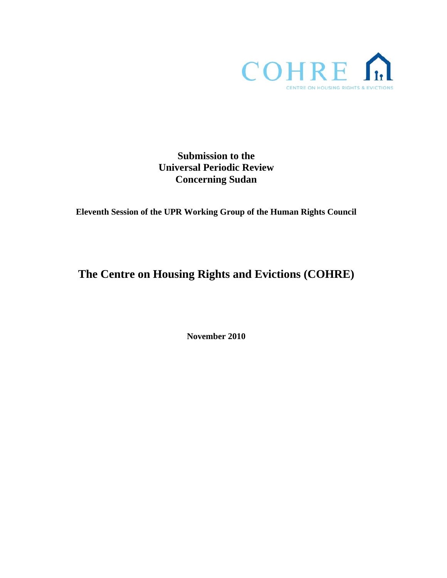

**Submission to the Universal Periodic Review Concerning Sudan** 

**Eleventh Session of the UPR Working Group of the Human Rights Council** 

**The Centre on Housing Rights and Evictions (COHRE)** 

**November 2010**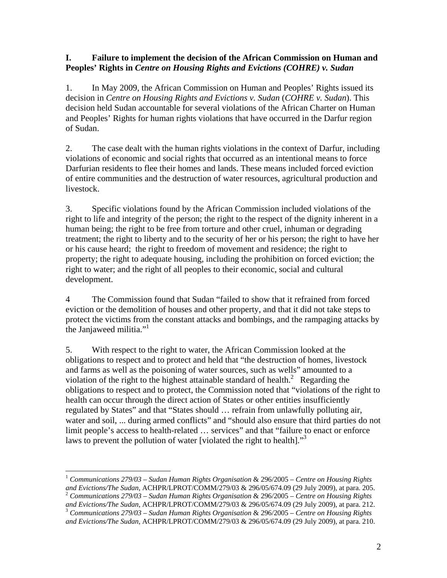## **I. Failure to implement the decision of the African Commission on Human and Peoples' Rights in** *Centre on Housing Rights and Evictions (COHRE) v. Sudan*

1. In May 2009, the African Commission on Human and Peoples' Rights issued its decision in *Centre on Housing Rights and Evictions v. Sudan* (*COHRE v. Sudan*). This decision held Sudan accountable for several violations of the African Charter on Human and Peoples' Rights for human rights violations that have occurred in the Darfur region of Sudan.

2. The case dealt with the human rights violations in the context of Darfur, including violations of economic and social rights that occurred as an intentional means to force Darfurian residents to flee their homes and lands. These means included forced eviction of entire communities and the destruction of water resources, agricultural production and livestock.

3. Specific violations found by the African Commission included violations of the right to life and integrity of the person; the right to the respect of the dignity inherent in a human being; the right to be free from torture and other cruel, inhuman or degrading treatment; the right to liberty and to the security of her or his person; the right to have her or his cause heard; the right to freedom of movement and residence; the right to property; the right to adequate housing, including the prohibition on forced eviction; the right to water; and the right of all peoples to their economic, social and cultural development.

4 The Commission found that Sudan "failed to show that it refrained from forced eviction or the demolition of houses and other property, and that it did not take steps to protect the victims from the constant attacks and bombings, and the rampaging attacks by the Janjaweed militia."<sup>1</sup>

5. With respect to the right to water, the African Commission looked at the obligations to respect and to protect and held that "the destruction of homes, livestock and farms as well as the poisoning of water sources, such as wells" amounted to a violation of the right to the highest attainable standard of health. $2$  Regarding the obligations to respect and to protect, the Commission noted that "violations of the right to health can occur through the direct action of States or other entities insufficiently regulated by States" and that "States should … refrain from unlawfully polluting air, water and soil, ... during armed conflicts" and "should also ensure that third parties do not limit people's access to health-related ... services" and that "failure to enact or enforce laws to prevent the pollution of water [violated the right to health].<sup>33</sup>

 $\overline{a}$ 

<sup>1</sup> *Communications 279/03 – Sudan Human Rights Organisation* & 296/2005 – *Centre on Housing Rights* 

*and Evictions/The Sudan*, ACHPR/LPROT/COMM/279/03 & 296/05/674.09 (29 July 2009), at para. 205.<br>
<sup>2</sup> *Communications 279/03 – Sudan Human Rights Organisation* & 296/2005 – *Centre on Housing Rights and Evictions/The Sudan* 

<sup>&</sup>lt;sup>3</sup> Communications 279/03 – Sudan Human Rights Organisation & 296/2005 – Centre on Housing Rights *and Evictions/The Sudan*, ACHPR/LPROT/COMM/279/03 & 296/05/674.09 (29 July 2009), at para. 210.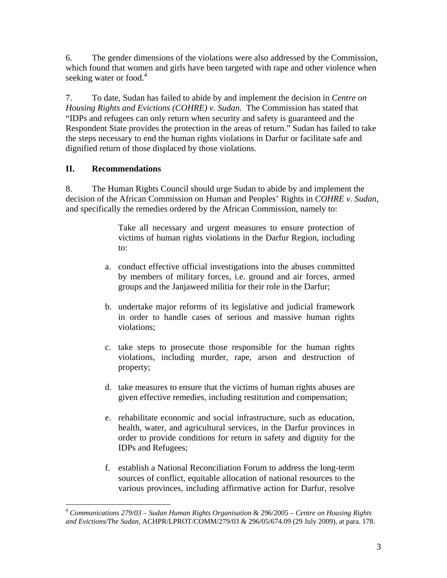6. The gender dimensions of the violations were also addressed by the Commission, which found that women and girls have been targeted with rape and other violence when seeking water or food.<sup>4</sup>

7. To date, Sudan has failed to abide by and implement the decision in *Centre on Housing Rights and Evictions (COHRE) v. Sudan.* The Commission has stated that "IDPs and refugees can only return when security and safety is guaranteed and the Respondent State provides the protection in the areas of return." Sudan has failed to take the steps necessary to end the human rights violations in Darfur or facilitate safe and dignified return of those displaced by those violations.

## **II. Recommendations**

8. The Human Rights Council should urge Sudan to abide by and implement the decision of the African Commission on Human and Peoples' Rights in *COHRE v. Sudan*, and specifically the remedies ordered by the African Commission, namely to:

> Take all necessary and urgent measures to ensure protection of victims of human rights violations in the Darfur Region, including to:

- a. conduct effective official investigations into the abuses committed by members of military forces, i.e. ground and air forces, armed groups and the Janjaweed militia for their role in the Darfur;
- b. undertake major reforms of its legislative and judicial framework in order to handle cases of serious and massive human rights violations;
- c. take steps to prosecute those responsible for the human rights violations, including murder, rape, arson and destruction of property;
- d. take measures to ensure that the victims of human rights abuses are given effective remedies, including restitution and compensation;
- e. rehabilitate economic and social infrastructure, such as education, health, water, and agricultural services, in the Darfur provinces in order to provide conditions for return in safety and dignity for the IDPs and Refugees;
- f. establish a National Reconciliation Forum to address the long-term sources of conflict, equitable allocation of national resources to the various provinces, including affirmative action for Darfur, resolve

<sup>1</sup> <sup>4</sup> *Communications 279/03 – Sudan Human Rights Organisation* & 296/2005 – *Centre on Housing Rights and Evictions/The Sudan*, ACHPR/LPROT/COMM/279/03 & 296/05/674.09 (29 July 2009), at para. 178.